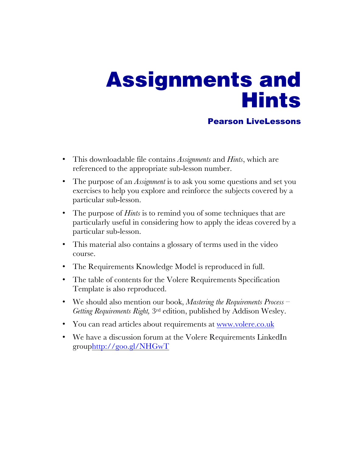# Assignments and Hints

#### Pearson LiveLessons

- This downloadable file contains *Assignments* and *Hints*, which are referenced to the appropriate sub-lesson number.
- The purpose of an *Assignment* is to ask you some questions and set you exercises to help you explore and reinforce the subjects covered by a particular sub-lesson.
- The purpose of *Hints* is to remind you of some techniques that are particularly useful in considering how to apply the ideas covered by a particular sub-lesson.
- This material also contains a glossary of terms used in the video course.
- The Requirements Knowledge Model is reproduced in full.
- The table of contents for the Volere Requirements Specification Template is also reproduced.
- We should also mention our book, *Mastering the Requirements Process – Getting Requirements Right,* 3rd edition, published by Addison Wesley.
- You can read articles about requirements at www.volere.co.uk
- We have a discussion forum at the Volere Requirements LinkedIn grouphttp://goo.gl/NHGwT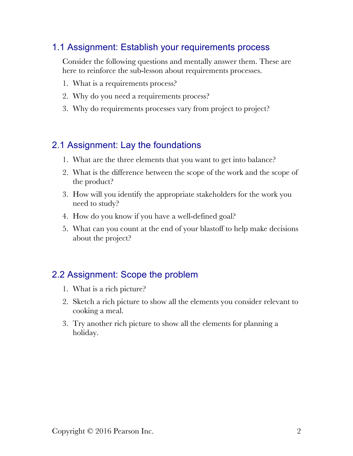#### 1.1 Assignment: Establish your requirements process

Consider the following questions and mentally answer them. These are here to reinforce the sub-lesson about requirements processes.

- 1. What is a requirements process?
- 2. Why do you need a requirements process?
- 3. Why do requirements processes vary from project to project?

#### 2.1 Assignment: Lay the foundations

- 1. What are the three elements that you want to get into balance?
- 2. What is the difference between the scope of the work and the scope of the product?
- 3. How will you identify the appropriate stakeholders for the work you need to study?
- 4. How do you know if you have a well-defined goal?
- 5. What can you count at the end of your blastoff to help make decisions about the project?

#### 2.2 Assignment: Scope the problem

- 1. What is a rich picture?
- 2. Sketch a rich picture to show all the elements you consider relevant to cooking a meal.
- 3. Try another rich picture to show all the elements for planning a holiday.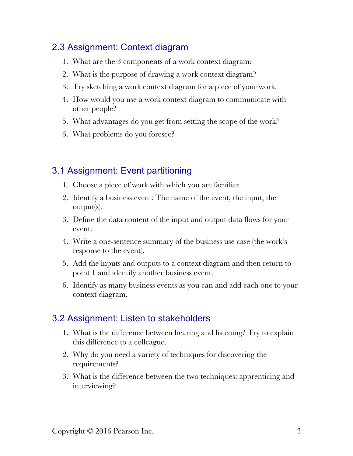### 2.3 Assignment: Context diagram

- 1. What are the 3 components of a work context diagram?
- 2. What is the purpose of drawing a work context diagram?
- 3. Try sketching a work context diagram for a piece of your work.
- 4. How would you use a work context diagram to communicate with other people?
- 5. What advantages do you get from setting the scope of the work?
- 6. What problems do you foresee?

### 3.1 Assignment: Event partitioning

- 1. Choose a piece of work with which you are familiar.
- 2. Identify a business event: The name of the event, the input, the output(s).
- 3. Define the data content of the input and output data flows for your event.
- 4. Write a one-sentence summary of the business use case (the work's response to the event).
- 5. Add the inputs and outputs to a context diagram and then return to point 1 and identify another business event.
- 6. Identify as many business events as you can and add each one to your context diagram.

### 3.2 Assignment: Listen to stakeholders

- 1. What is the difference between hearing and listening? Try to explain this difference to a colleague.
- 2. Why do you need a variety of techniques for discovering the requirements?
- 3. What is the difference between the two techniques: apprenticing and interviewing?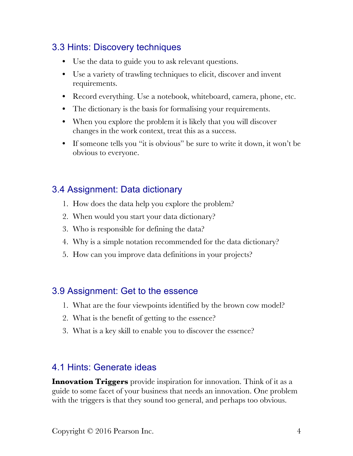### 3.3 Hints: Discovery techniques

- Use the data to guide you to ask relevant questions.
- Use a variety of trawling techniques to elicit, discover and invent requirements.
- Record everything. Use a notebook, whiteboard, camera, phone, etc.
- The dictionary is the basis for formalising your requirements.
- When you explore the problem it is likely that you will discover changes in the work context, treat this as a success.
- If someone tells you "it is obvious" be sure to write it down, it won't be obvious to everyone.

### 3.4 Assignment: Data dictionary

- 1. How does the data help you explore the problem?
- 2. When would you start your data dictionary?
- 3. Who is responsible for defining the data?
- 4. Why is a simple notation recommended for the data dictionary?
- 5. How can you improve data definitions in your projects?

#### 3.9 Assignment: Get to the essence

- 1. What are the four viewpoints identified by the brown cow model?
- 2. What is the benefit of getting to the essence?
- 3. What is a key skill to enable you to discover the essence?

#### 4.1 Hints: Generate ideas

**Innovation Triggers** provide inspiration for innovation. Think of it as a guide to some facet of your business that needs an innovation. One problem with the triggers is that they sound too general, and perhaps too obvious.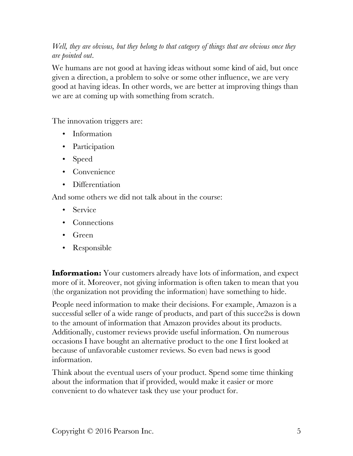#### *Well, they are obvious, but they belong to that category of things that are obvious once they are pointed out*.

We humans are not good at having ideas without some kind of aid, but once given a direction, a problem to solve or some other influence, we are very good at having ideas. In other words, we are better at improving things than we are at coming up with something from scratch.

The innovation triggers are:

- Information
- Participation
- Speed
- Convenience
- Differentiation

And some others we did not talk about in the course:

- Service
- Connections
- Green
- Responsible

**Information:** Your customers already have lots of information, and expect more of it. Moreover, not giving information is often taken to mean that you (the organization not providing the information) have something to hide.

People need information to make their decisions. For example, Amazon is a successful seller of a wide range of products, and part of this succe2ss is down to the amount of information that Amazon provides about its products. Additionally, customer reviews provide useful information. On numerous occasions I have bought an alternative product to the one I first looked at because of unfavorable customer reviews. So even bad news is good information.

Think about the eventual users of your product. Spend some time thinking about the information that if provided, would make it easier or more convenient to do whatever task they use your product for.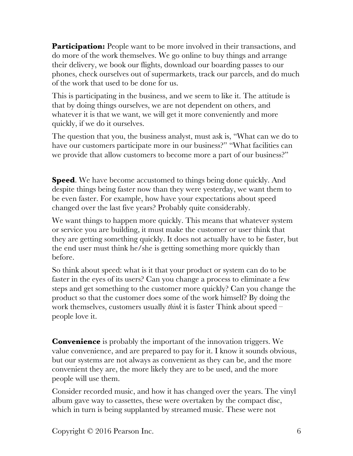**Participation:** People want to be more involved in their transactions, and do more of the work themselves. We go online to buy things and arrange their delivery, we book our flights, download our boarding passes to our phones, check ourselves out of supermarkets, track our parcels, and do much of the work that used to be done for us.

This is participating in the business, and we seem to like it. The attitude is that by doing things ourselves, we are not dependent on others, and whatever it is that we want, we will get it more conveniently and more quickly, if we do it ourselves.

The question that you, the business analyst, must ask is, "What can we do to have our customers participate more in our business?" "What facilities can we provide that allow customers to become more a part of our business?"

**Speed.** We have become accustomed to things being done quickly. And despite things being faster now than they were yesterday, we want them to be even faster. For example, how have your expectations about speed changed over the last five years? Probably quite considerably.

We want things to happen more quickly. This means that whatever system or service you are building, it must make the customer or user think that they are getting something quickly. It does not actually have to be faster, but the end user must think he/she is getting something more quickly than before.

So think about speed: what is it that your product or system can do to be faster in the eyes of its users? Can you change a process to eliminate a few steps and get something to the customer more quickly? Can you change the product so that the customer does some of the work himself? By doing the work themselves, customers usually *think* it is faster Think about speed – people love it.

**Convenience** is probably the important of the innovation triggers. We value convenience, and are prepared to pay for it. I know it sounds obvious, but our systems are not always as convenient as they can be, and the more convenient they are, the more likely they are to be used, and the more people will use them.

Consider recorded music, and how it has changed over the years. The vinyl album gave way to cassettes, these were overtaken by the compact disc, which in turn is being supplanted by streamed music. These were not

Copyright © 2016 Pearson Inc. 6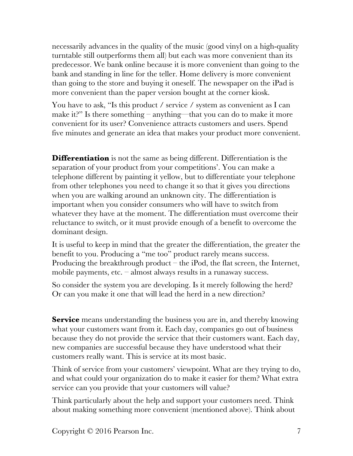necessarily advances in the quality of the music (good vinyl on a high-quality turntable still outperforms them all) but each was more convenient than its predecessor. We bank online because it is more convenient than going to the bank and standing in line for the teller. Home delivery is more convenient than going to the store and buying it oneself. The newspaper on the iPad is more convenient than the paper version bought at the corner kiosk.

You have to ask, "Is this product / service / system as convenient as I can make it?" Is there something – anything—that you can do to make it more convenient for its user? Convenience attracts customers and users. Spend five minutes and generate an idea that makes your product more convenient.

**Differentiation** is not the same as being different. Differentiation is the separation of your product from your competitions'. You can make a telephone different by painting it yellow, but to differentiate your telephone from other telephones you need to change it so that it gives you directions when you are walking around an unknown city. The differentiation is important when you consider consumers who will have to switch from whatever they have at the moment. The differentiation must overcome their reluctance to switch, or it must provide enough of a benefit to overcome the dominant design.

It is useful to keep in mind that the greater the differentiation, the greater the benefit to you. Producing a "me too" product rarely means success. Producing the breakthrough product – the iPod, the flat screen, the Internet, mobile payments, etc. – almost always results in a runaway success.

So consider the system you are developing. Is it merely following the herd? Or can you make it one that will lead the herd in a new direction?

**Service** means understanding the business you are in, and thereby knowing what your customers want from it. Each day, companies go out of business because they do not provide the service that their customers want. Each day, new companies are successful because they have understood what their customers really want. This is service at its most basic.

Think of service from your customers' viewpoint. What are they trying to do, and what could your organization do to make it easier for them? What extra service can you provide that your customers will value?

Think particularly about the help and support your customers need. Think about making something more convenient (mentioned above). Think about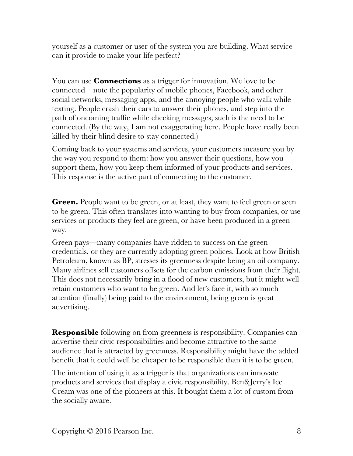yourself as a customer or user of the system you are building. What service can it provide to make your life perfect?

You can use **Connections** as a trigger for innovation. We love to be connected – note the popularity of mobile phones, Facebook, and other social networks, messaging apps, and the annoying people who walk while texting. People crash their cars to answer their phones, and step into the path of oncoming traffic while checking messages; such is the need to be connected. (By the way, I am not exaggerating here. People have really been killed by their blind desire to stay connected.)

Coming back to your systems and services, your customers measure you by the way you respond to them: how you answer their questions, how you support them, how you keep them informed of your products and services. This response is the active part of connecting to the customer.

**Green.** People want to be green, or at least, they want to feel green or seen to be green. This often translates into wanting to buy from companies, or use services or products they feel are green, or have been produced in a green way.

Green pays—many companies have ridden to success on the green credentials, or they are currently adopting green polices. Look at how British Petroleum, known as BP, stresses its greenness despite being an oil company. Many airlines sell customers offsets for the carbon emissions from their flight. This does not necessarily bring in a flood of new customers, but it might well retain customers who want to be green. And let's face it, with so much attention (finally) being paid to the environment, being green is great advertising.

**Responsible** following on from greenness is responsibility. Companies can advertise their civic responsibilities and become attractive to the same audience that is attracted by greenness. Responsibility might have the added benefit that it could well be cheaper to be responsible than it is to be green.

The intention of using it as a trigger is that organizations can innovate products and services that display a civic responsibility. Ben&Jerry's Ice Cream was one of the pioneers at this. It bought them a lot of custom from the socially aware.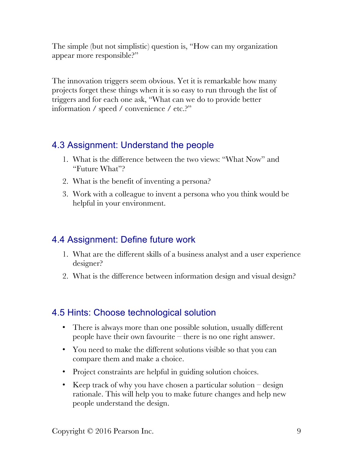The simple (but not simplistic) question is, "How can my organization appear more responsible?"

The innovation triggers seem obvious. Yet it is remarkable how many projects forget these things when it is so easy to run through the list of triggers and for each one ask, "What can we do to provide better information / speed / convenience / etc.?"

### 4.3 Assignment: Understand the people

- 1. What is the difference between the two views: "What Now" and "Future What"?
- 2. What is the benefit of inventing a persona?
- 3. Work with a colleague to invent a persona who you think would be helpful in your environment.

### 4.4 Assignment: Define future work

- 1. What are the different skills of a business analyst and a user experience designer?
- 2. What is the difference between information design and visual design?

### 4.5 Hints: Choose technological solution

- There is always more than one possible solution, usually different people have their own favourite – there is no one right answer.
- You need to make the different solutions visible so that you can compare them and make a choice.
- Project constraints are helpful in guiding solution choices.
- Keep track of why you have chosen a particular solution design rationale. This will help you to make future changes and help new people understand the design.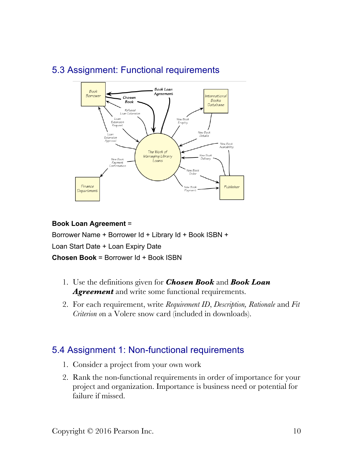

#### 5.3 Assignment: Functional requirements

#### **Book Loan Agreement** =

Borrower Name + Borrower Id + Library Id + Book ISBN +

Loan Start Date + Loan Expiry Date

**Chosen Book** = Borrower Id + Book ISBN

- 1. Use the definitions given for *Chosen Book* and *Book Loan*  Agreement and write some functional requirements.
- 2. For each requirement, write *Requirement ID*, *Description, Rationale* and *Fit Criterion o*n a Volere snow card (included in downloads).

#### 5.4 Assignment 1: Non-functional requirements

- 1. Consider a project from your own work
- 2. Rank the non-functional requirements in order of importance for your project and organization. Importance is business need or potential for failure if missed.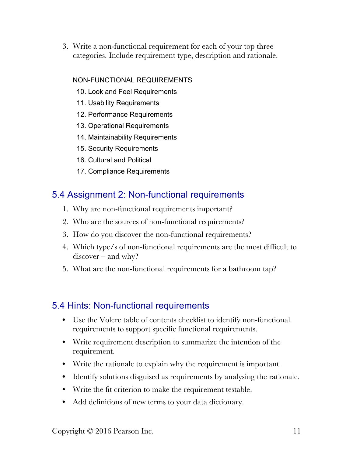3. Write a non-functional requirement for each of your top three categories. Include requirement type, description and rationale.

#### NON-FUNCTIONAL REQUIREMENTS

- 10. Look and Feel Requirements
- 11. Usability Requirements
- 12. Performance Requirements
- 13. Operational Requirements
- 14. Maintainability Requirements
- 15. Security Requirements
- 16. Cultural and Political
- 17. Compliance Requirements

#### 5.4 Assignment 2: Non-functional requirements

- 1. Why are non-functional requirements important?
- 2. Who are the sources of non-functional requirements?
- 3. How do you discover the non-functional requirements?
- 4. Which type/s of non-functional requirements are the most difficult to  $discover - and why?$
- 5. What are the non-functional requirements for a bathroom tap?

#### 5.4 Hints: Non-functional requirements

- Use the Volere table of contents checklist to identify non-functional requirements to support specific functional requirements.
- Write requirement description to summarize the intention of the requirement.
- Write the rationale to explain why the requirement is important.
- Identify solutions disguised as requirements by analysing the rationale.
- Write the fit criterion to make the requirement testable.
- Add definitions of new terms to your data dictionary.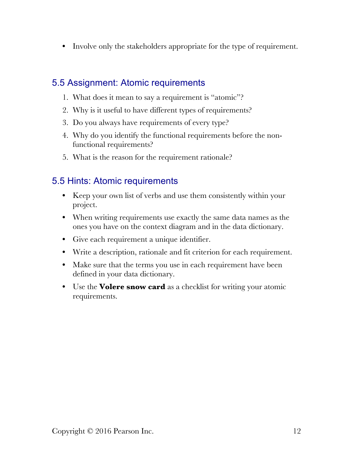• Involve only the stakeholders appropriate for the type of requirement.

#### 5.5 Assignment: Atomic requirements

- 1. What does it mean to say a requirement is "atomic"?
- 2. Why is it useful to have different types of requirements?
- 3. Do you always have requirements of every type?
- 4. Why do you identify the functional requirements before the nonfunctional requirements?
- 5. What is the reason for the requirement rationale?

#### 5.5 Hints: Atomic requirements

- Keep your own list of verbs and use them consistently within your project.
- When writing requirements use exactly the same data names as the ones you have on the context diagram and in the data dictionary.
- Give each requirement a unique identifier.
- Write a description, rationale and fit criterion for each requirement.
- Make sure that the terms you use in each requirement have been defined in your data dictionary.
- Use the **Volere snow card** as a checklist for writing your atomic requirements.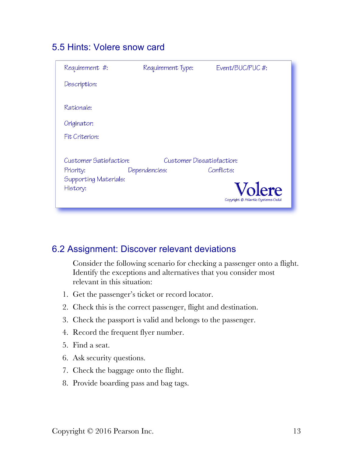#### 5.5 Hints: Volere snow card

| Requirement #:                    | Requirement Type: | Event/BUC/PUC#:                              |
|-----------------------------------|-------------------|----------------------------------------------|
| Description:                      |                   |                                              |
| Rationale:                        |                   |                                              |
| Originator:                       |                   |                                              |
| Fit Criterion:                    |                   |                                              |
| Customer Satisfaction:            |                   | Customer Dissatisfaction:                    |
| Priority:                         | Dependencies:     | Conflicts:                                   |
| Supporting Materials:<br>History: |                   | Volere<br>Copyright © Atlantic Systems Guild |

#### 6.2 Assignment: Discover relevant deviations

Consider the following scenario for checking a passenger onto a flight. Identify the exceptions and alternatives that you consider most relevant in this situation:

- 1. Get the passenger's ticket or record locator.
- 2. Check this is the correct passenger, flight and destination.
- 3. Check the passport is valid and belongs to the passenger.
- 4. Record the frequent flyer number.
- 5. Find a seat.
- 6. Ask security questions.
- 7. Check the baggage onto the flight.
- 8. Provide boarding pass and bag tags.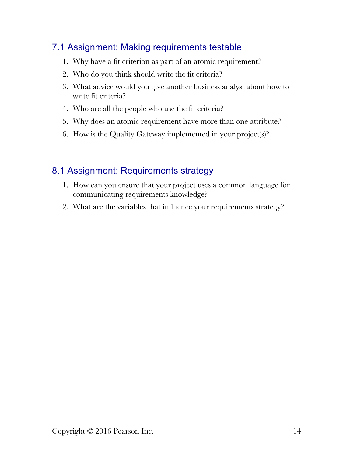### 7.1 Assignment: Making requirements testable

- 1. Why have a fit criterion as part of an atomic requirement?
- 2. Who do you think should write the fit criteria?
- 3. What advice would you give another business analyst about how to write fit criteria?
- 4. Who are all the people who use the fit criteria?
- 5. Why does an atomic requirement have more than one attribute?
- 6. How is the Quality Gateway implemented in your project(s)?

### 8.1 Assignment: Requirements strategy

- 1. How can you ensure that your project uses a common language for communicating requirements knowledge?
- 2. What are the variables that influence your requirements strategy?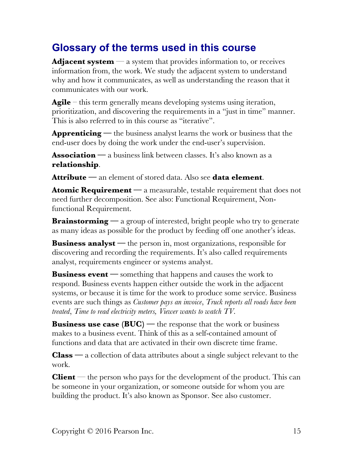# **Glossary of the terms used in this course**

**Adjacent system** — a system that provides information to, or receives information from, the work. We study the adjacent system to understand why and how it communicates, as well as understanding the reason that it communicates with our work.

**Agile** – this term generally means developing systems using iteration, prioritization, and discovering the requirements in a "just in time" manner. This is also referred to in this course as "iterative".

**Apprenticing** — the business analyst learns the work or business that the end-user does by doing the work under the end-user's supervision.

**Association** — a business link between classes. It's also known as a **relationship**.

**Attribute —** an element of stored data. Also see **data element**.

**Atomic Requirement** — a measurable, testable requirement that does not need further decomposition. See also: Functional Requirement, Nonfunctional Requirement.

**Brainstorming** — a group of interested, bright people who try to generate as many ideas as possible for the product by feeding off one another's ideas.

**Business analyst —** the person in, most organizations, responsible for discovering and recording the requirements. It's also called requirements analyst, requirements engineer or systems analyst.

**Business event** — something that happens and causes the work to respond. Business events happen either outside the work in the adjacent systems, or because it is time for the work to produce some service. Business events are such things as *Customer pays an invoice*, *Truck reports all roads have been treated*, *Time to read electricity meters, Viewer wants to watch TV*.

**Business use case (BUC)** — the response that the work or business makes to a business event. Think of this as a self-contained amount of functions and data that are activated in their own discrete time frame.

**Class —** a collection of data attributes about a single subject relevant to the work.

**Client** — the person who pays for the development of the product. This can be someone in your organization, or someone outside for whom you are building the product. It's also known as Sponsor. See also customer.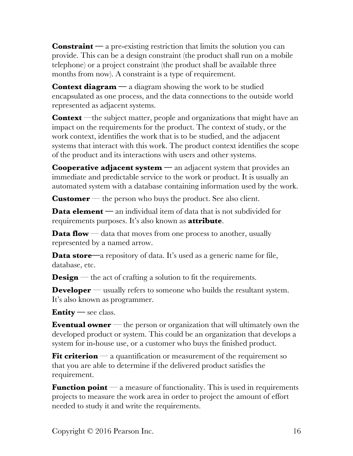**Constraint** — a pre-existing restriction that limits the solution you can provide. This can be a design constraint (the product shall run on a mobile telephone) or a project constraint (the product shall be available three months from now). A constraint is a type of requirement.

**Context diagram —** a diagram showing the work to be studied encapsulated as one process, and the data connections to the outside world represented as adjacent systems.

**Context** —the subject matter, people and organizations that might have an impact on the requirements for the product. The context of study, or the work context, identifies the work that is to be studied, and the adjacent systems that interact with this work. The product context identifies the scope of the product and its interactions with users and other systems.

**Cooperative adjacent system —** an adjacent system that provides an immediate and predictable service to the work or product. It is usually an automated system with a database containing information used by the work.

**Customer** — the person who buys the product. See also client.

**Data element —** an individual item of data that is not subdivided for requirements purposes. It's also known as **attribute**.

**Data flow** — data that moves from one process to another, usually represented by a named arrow.

**Data store—**a repository of data. It's used as a generic name for file, database, etc.

**Design** — the act of crafting a solution to fit the requirements.

**Developer** — usually refers to someone who builds the resultant system. It's also known as programmer.

**Entity —** see class.

**Eventual owner** — the person or organization that will ultimately own the developed product or system. This could be an organization that develops a system for in-house use, or a customer who buys the finished product.

**Fit criterion** — a quantification or measurement of the requirement so that you are able to determine if the delivered product satisfies the requirement.

**Function point** — a measure of functionality. This is used in requirements projects to measure the work area in order to project the amount of effort needed to study it and write the requirements.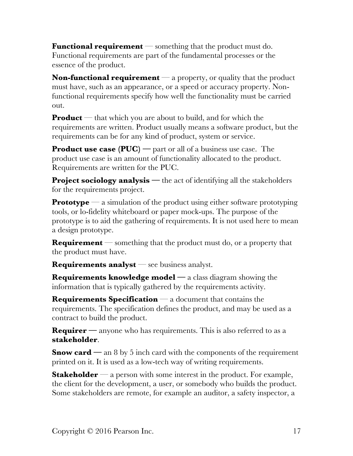**Functional requirement** — something that the product must do. Functional requirements are part of the fundamental processes or the essence of the product.

**Non-functional requirement** — a property, or quality that the product must have, such as an appearance, or a speed or accuracy property. Nonfunctional requirements specify how well the functionality must be carried out.

**Product** — that which you are about to build, and for which the requirements are written. Product usually means a software product, but the requirements can be for any kind of product, system or service.

**Product use case (PUC)** — part or all of a business use case. The product use case is an amount of functionality allocated to the product. Requirements are written for the PUC.

**Project sociology analysis** — the act of identifying all the stakeholders for the requirements project.

**Prototype** — a simulation of the product using either software prototyping tools, or lo-fidelity whiteboard or paper mock-ups. The purpose of the prototype is to aid the gathering of requirements. It is not used here to mean a design prototype.

**Requirement** — something that the product must do, or a property that the product must have.

**Requirements analyst** — see business analyst.

**Requirements knowledge model —** a class diagram showing the information that is typically gathered by the requirements activity.

**Requirements Specification** — a document that contains the requirements. The specification defines the product, and may be used as a contract to build the product.

**Requirer** — anyone who has requirements. This is also referred to as a **stakeholder**.

**Snow card** — an 8 by 5 inch card with the components of the requirement printed on it. It is used as a low-tech way of writing requirements.

**Stakeholder** — a person with some interest in the product. For example, the client for the development, a user, or somebody who builds the product. Some stakeholders are remote, for example an auditor, a safety inspector, a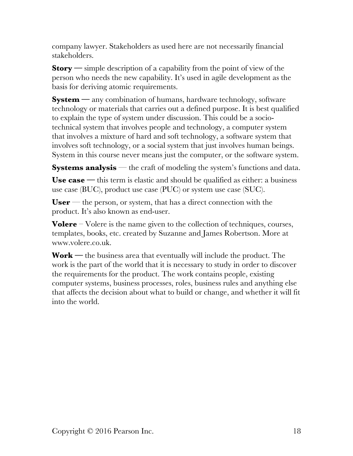company lawyer. Stakeholders as used here are not necessarily financial stakeholders.

**Story** — simple description of a capability from the point of view of the person who needs the new capability. It's used in agile development as the basis for deriving atomic requirements.

**System** — any combination of humans, hardware technology, software technology or materials that carries out a defined purpose. It is best qualified to explain the type of system under discussion. This could be a sociotechnical system that involves people and technology, a computer system that involves a mixture of hard and soft technology, a software system that involves soft technology, or a social system that just involves human beings. System in this course never means just the computer, or the software system.

**Systems analysis** — the craft of modeling the system's functions and data.

**Use case —** this term is elastic and should be qualified as either: a business use case (BUC), product use case (PUC) or system use case (SUC).

**User** — the person, or system, that has a direct connection with the product. It's also known as end-user.

**Volere** – Volere is the name given to the collection of techniques, courses, templates, books, etc. created by Suzanne and James Robertson. More at www.volere.co.uk.

**Work —** the business area that eventually will include the product. The work is the part of the world that it is necessary to study in order to discover the requirements for the product. The work contains people, existing computer systems, business processes, roles, business rules and anything else that affects the decision about what to build or change, and whether it will fit into the world.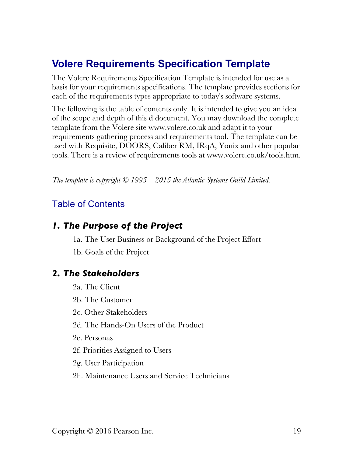# **Volere Requirements Specification Template**

The Volere Requirements Specification Template is intended for use as a basis for your requirements specifications. The template provides sections for each of the requirements types appropriate to today's software systems.

The following is the table of contents only. It is intended to give you an idea of the scope and depth of this d document. You may download the complete template from the Volere site www.volere.co.uk and adapt it to your requirements gathering process and requirements tool. The template can be used with Requisite, DOORS, Caliber RM, IRqA, Yonix and other popular tools. There is a review of requirements tools at www.volere.co.uk/tools.htm.

*The template is copyright © 1995 – 2015 the Atlantic Systems Guild Limited.*

#### Table of Contents

#### *1. The Purpose of the Project*

- 1a. The User Business or Background of the Project Effort
- 1b. Goals of the Project

#### *2. The Stakeholders*

- 2a. The Client
- 2b. The Customer
- 2c. Other Stakeholders
- 2d. The Hands-On Users of the Product
- 2e. Personas
- 2f. Priorities Assigned to Users
- 2g. User Participation
- 2h. Maintenance Users and Service Technicians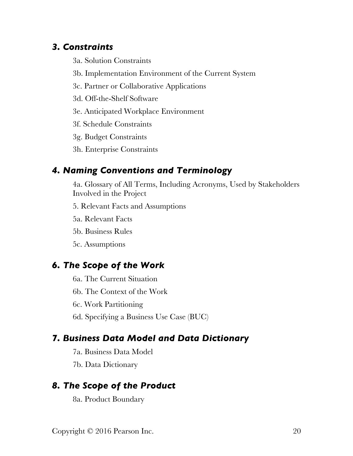#### *3. Constraints*

- 3a. Solution Constraints
- 3b. Implementation Environment of the Current System
- 3c. Partner or Collaborative Applications
- 3d. Off-the-Shelf Software
- 3e. Anticipated Workplace Environment
- 3f. Schedule Constraints
- 3g. Budget Constraints
- 3h. Enterprise Constraints

#### *4. Naming Conventions and Terminology*

4a. Glossary of All Terms, Including Acronyms, Used by Stakeholders Involved in the Project

- 5. Relevant Facts and Assumptions
- 5a. Relevant Facts
- 5b. Business Rules
- 5c. Assumptions

### *6. The Scope of the Work*

6a. The Current Situation 6b. The Context of the Work 6c. Work Partitioning 6d. Specifying a Business Use Case (BUC)

### *7. Business Data Model and Data Dictionary*

- 7a. Business Data Model
- 7b. Data Dictionary

### *8. The Scope of the Product*

8a. Product Boundary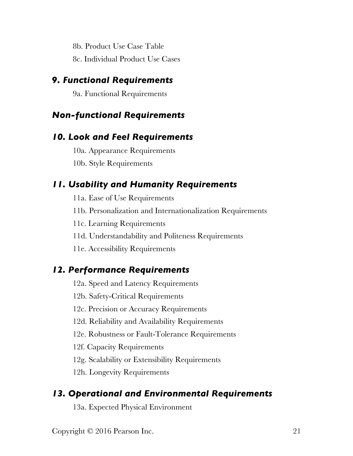8b. Product Use Case Table 8c. Individual Product Use Cases

#### *9. Functional Requirements*

9a. Functional Requirements

### *Non-functional Requirements*

### *10. Look and Feel Requirements*

10a. Appearance Requirements 10b. Style Requirements

### *11. Usability and Humanity Requirements*

11a. Ease of Use Requirements 11b. Personalization and Internationalization Requirements 11c. Learning Requirements 11d. Understandability and Politeness Requirements 11e. Accessibility Requirements

# *12. Performance Requirements*

12a. Speed and Latency Requirements 12b. Safety-Critical Requirements 12c. Precision or Accuracy Requirements 12d. Reliability and Availability Requirements 12e. Robustness or Fault-Tolerance Requirements 12f. Capacity Requirements 12g. Scalability or Extensibility Requirements 12h. Longevity Requirements

### *13. Operational and Environmental Requirements*

13a. Expected Physical Environment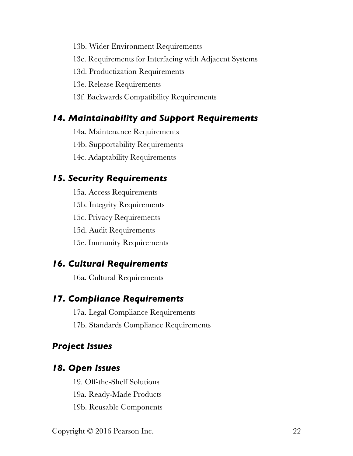13b. Wider Environment Requirements

13c. Requirements for Interfacing with Adjacent Systems

13d. Productization Requirements

13e. Release Requirements

13f. Backwards Compatibility Requirements

#### *14. Maintainability and Support Requirements*

14a. Maintenance Requirements 14b. Supportability Requirements

14c. Adaptability Requirements

#### *15. Security Requirements*

15a. Access Requirements 15b. Integrity Requirements 15c. Privacy Requirements 15d. Audit Requirements 15e. Immunity Requirements

### *16. Cultural Requirements*

16a. Cultural Requirements

#### *17. Compliance Requirements*

17a. Legal Compliance Requirements

17b. Standards Compliance Requirements

### *Project Issues*

### *18. Open Issues*

19. Off-the-Shelf Solutions

19a. Ready-Made Products

19b. Reusable Components

Copyright © 2016 Pearson Inc. 22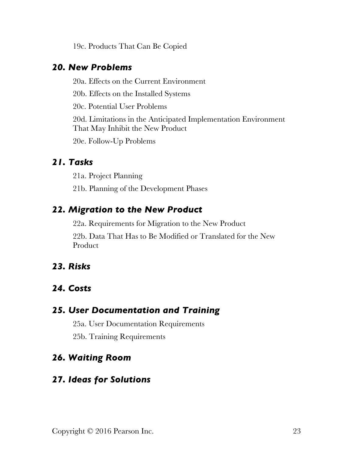19c. Products That Can Be Copied

#### *20. New Problems*

20a. Effects on the Current Environment

20b. Effects on the Installed Systems

20c. Potential User Problems

20d. Limitations in the Anticipated Implementation Environment That May Inhibit the New Product

20e. Follow-Up Problems

### *21. Tasks*

21a. Project Planning

21b. Planning of the Development Phases

### *22. Migration to the New Product*

22a. Requirements for Migration to the New Product

22b. Data That Has to Be Modified or Translated for the New Product

### *23. Risks*

# *24. Costs*

### *25. User Documentation and Training*

25a. User Documentation Requirements

25b. Training Requirements

# *26. Waiting Room*

# *27. Ideas for Solutions*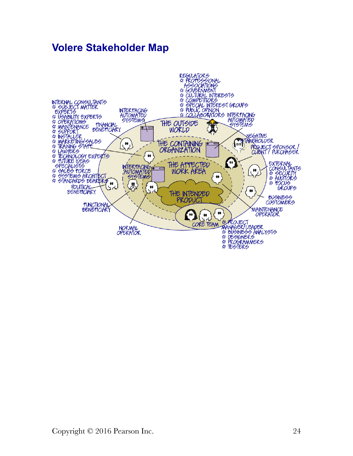# **Volere Stakeholder Map**

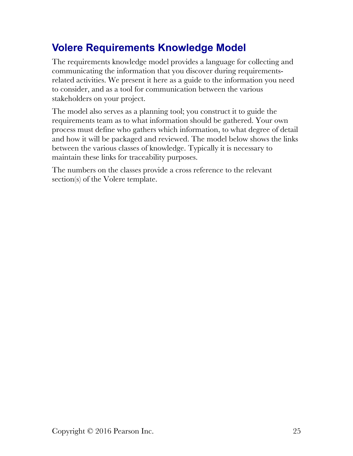# **Volere Requirements Knowledge Model**

The requirements knowledge model provides a language for collecting and communicating the information that you discover during requirementsrelated activities. We present it here as a guide to the information you need to consider, and as a tool for communication between the various stakeholders on your project.

The model also serves as a planning tool; you construct it to guide the requirements team as to what information should be gathered. Your own process must define who gathers which information, to what degree of detail and how it will be packaged and reviewed. The model below shows the links between the various classes of knowledge. Typically it is necessary to maintain these links for traceability purposes.

The numbers on the classes provide a cross reference to the relevant section(s) of the Volere template.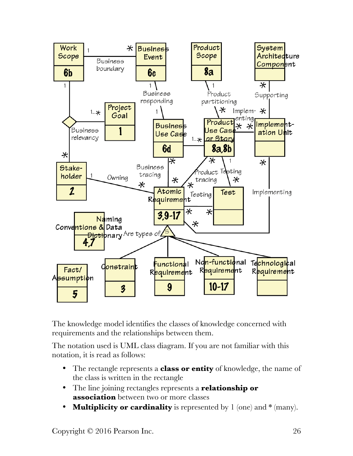

The knowledge model identifies the classes of knowledge concerned with requirements and the relationships between them.

The notation used is UML class diagram. If you are not familiar with this notation, it is read as follows:

- The rectangle represents a **class or entity** of knowledge, the name of the class is written in the rectangle
- The line joining rectangles represents a **relationship or association** between two or more classes
- **Multiplicity or cardinality** is represented by 1 (one) and \* (many).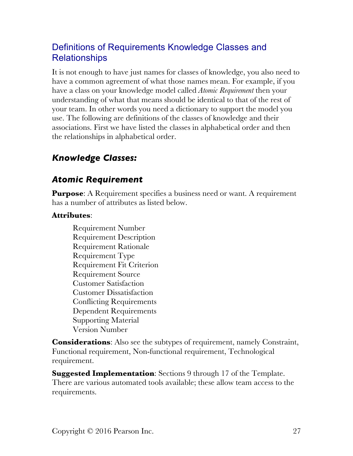### Definitions of Requirements Knowledge Classes and **Relationships**

It is not enough to have just names for classes of knowledge, you also need to have a common agreement of what those names mean. For example, if you have a class on your knowledge model called *Atomic Requirement* then your understanding of what that means should be identical to that of the rest of your team. In other words you need a dictionary to support the model you use. The following are definitions of the classes of knowledge and their associations. First we have listed the classes in alphabetical order and then the relationships in alphabetical order.

# *Knowledge Classes:*

### *Atomic Requirement*

**Purpose:** A Requirement specifies a business need or want. A requirement has a number of attributes as listed below.

#### **Attributes**:

Requirement Number Requirement Description Requirement Rationale Requirement Type Requirement Fit Criterion Requirement Source Customer Satisfaction Customer Dissatisfaction Conflicting Requirements Dependent Requirements Supporting Material Version Number

**Considerations**: Also see the subtypes of requirement, namely Constraint, Functional requirement, Non-functional requirement, Technological requirement.

**Suggested Implementation**: Sections 9 through 17 of the Template. There are various automated tools available; these allow team access to the requirements.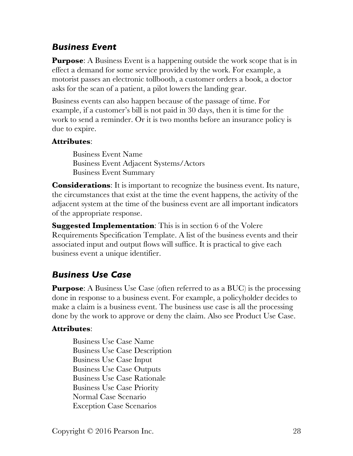#### *Business Event*

**Purpose**: A Business Event is a happening outside the work scope that is in effect a demand for some service provided by the work. For example, a motorist passes an electronic tollbooth, a customer orders a book, a doctor asks for the scan of a patient, a pilot lowers the landing gear.

Business events can also happen because of the passage of time. For example, if a customer's bill is not paid in 30 days, then it is time for the work to send a reminder. Or it is two months before an insurance policy is due to expire.

#### **Attributes**:

Business Event Name Business Event Adjacent Systems/Actors Business Event Summary

**Considerations**: It is important to recognize the business event. Its nature, the circumstances that exist at the time the event happens, the activity of the adjacent system at the time of the business event are all important indicators of the appropriate response.

**Suggested Implementation**: This is in section 6 of the Volere Requirements Specification Template. A list of the business events and their associated input and output flows will suffice. It is practical to give each business event a unique identifier.

#### *Business Use Case*

**Purpose:** A Business Use Case (often referred to as a BUC) is the processing done in response to a business event. For example, a policyholder decides to make a claim is a business event. The business use case is all the processing done by the work to approve or deny the claim. Also see Product Use Case.

#### **Attributes**:

Business Use Case Name Business Use Case Description Business Use Case Input Business Use Case Outputs Business Use Case Rationale Business Use Case Priority Normal Case Scenario Exception Case Scenarios

Copyright © 2016 Pearson Inc. 28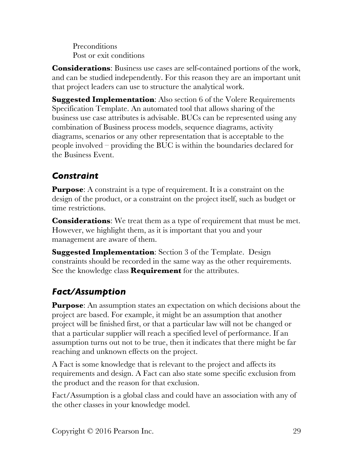Preconditions Post or exit conditions

**Considerations**: Business use cases are self-contained portions of the work, and can be studied independently. For this reason they are an important unit that project leaders can use to structure the analytical work.

**Suggested Implementation:** Also section 6 of the Volere Requirements Specification Template. An automated tool that allows sharing of the business use case attributes is advisable. BUCs can be represented using any combination of Business process models, sequence diagrams, activity diagrams, scenarios or any other representation that is acceptable to the people involved – providing the BUC is within the boundaries declared for the Business Event.

### *Constraint*

**Purpose:** A constraint is a type of requirement. It is a constraint on the design of the product, or a constraint on the project itself, such as budget or time restrictions.

**Considerations:** We treat them as a type of requirement that must be met. However, we highlight them, as it is important that you and your management are aware of them.

**Suggested Implementation:** Section 3 of the Template. Design constraints should be recorded in the same way as the other requirements. See the knowledge class **Requirement** for the attributes.

# *Fact/Assumption*

**Purpose**: An assumption states an expectation on which decisions about the project are based. For example, it might be an assumption that another project will be finished first, or that a particular law will not be changed or that a particular supplier will reach a specified level of performance. If an assumption turns out not to be true, then it indicates that there might be far reaching and unknown effects on the project.

A Fact is some knowledge that is relevant to the project and affects its requirements and design. A Fact can also state some specific exclusion from the product and the reason for that exclusion.

Fact/Assumption is a global class and could have an association with any of the other classes in your knowledge model.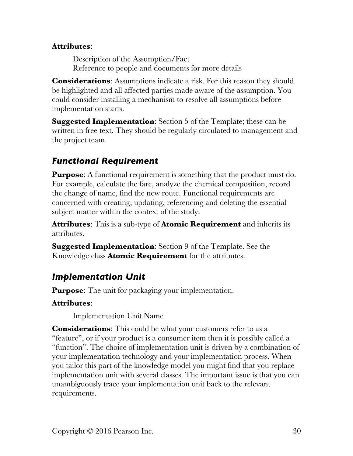#### **Attributes**:

Description of the Assumption/Fact Reference to people and documents for more details

**Considerations:** Assumptions indicate a risk. For this reason they should be highlighted and all affected parties made aware of the assumption. You could consider installing a mechanism to resolve all assumptions before implementation starts.

**Suggested Implementation**: Section 5 of the Template; these can be written in free text. They should be regularly circulated to management and the project team.

### *Functional Requirement*

**Purpose**: A functional requirement is something that the product must do. For example, calculate the fare, analyze the chemical composition, record the change of name, find the new route. Functional requirements are concerned with creating, updating, referencing and deleting the essential subject matter within the context of the study.

**Attributes**: This is a sub-type of **Atomic Requirement** and inherits its attributes.

**Suggested Implementation**: Section 9 of the Template. See the Knowledge class **Atomic Requirement** for the attributes.

### *Implementation Unit*

**Purpose:** The unit for packaging your implementation.

#### **Attributes**:

Implementation Unit Name

**Considerations:** This could be what your customers refer to as a "feature", or if your product is a consumer item then it is possibly called a "function". The choice of implementation unit is driven by a combination of your implementation technology and your implementation process. When you tailor this part of the knowledge model you might find that you replace implementation unit with several classes. The important issue is that you can unambiguously trace your implementation unit back to the relevant requirements.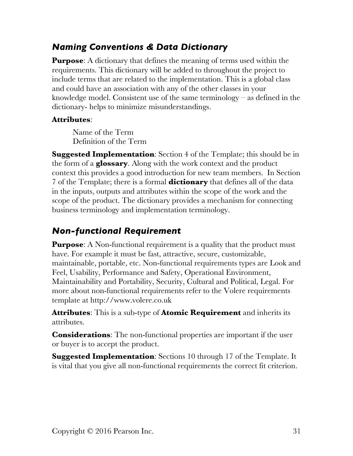### *Naming Conventions & Data Dictionary*

**Purpose:** A dictionary that defines the meaning of terms used within the requirements. This dictionary will be added to throughout the project to include terms that are related to the implementation. This is a global class and could have an association with any of the other classes in your knowledge model. Consistent use of the same terminology – as defined in the dictionary- helps to minimize misunderstandings.

#### **Attributes**:

Name of the Term Definition of the Term

**Suggested Implementation:** Section 4 of the Template; this should be in the form of a **glossary**. Along with the work context and the product context this provides a good introduction for new team members. In Section 7 of the Template; there is a formal **dictionary** that defines all of the data in the inputs, outputs and attributes within the scope of the work and the scope of the product. The dictionary provides a mechanism for connecting business terminology and implementation terminology.

# *Non-functional Requirement*

**Purpose:** A Non-functional requirement is a quality that the product must have. For example it must be fast, attractive, secure, customizable, maintainable, portable, etc. Non-functional requirements types are Look and Feel, Usability, Performance and Safety, Operational Environment, Maintainability and Portability, Security, Cultural and Political, Legal. For more about non-functional requirements refer to the Volere requirements template at http://www.volere.co.uk

**Attributes**: This is a sub-type of **Atomic Requirement** and inherits its attributes.

**Considerations**: The non-functional properties are important if the user or buyer is to accept the product.

**Suggested Implementation**: Sections 10 through 17 of the Template. It is vital that you give all non-functional requirements the correct fit criterion.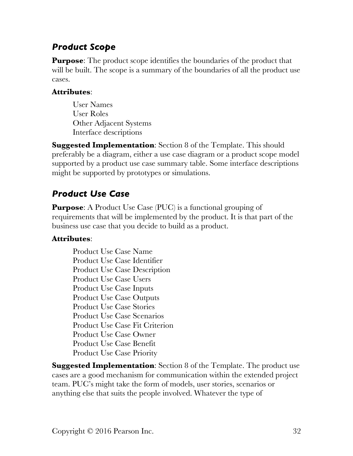#### *Product Scope*

**Purpose:** The product scope identifies the boundaries of the product that will be built. The scope is a summary of the boundaries of all the product use cases.

#### **Attributes**:

User Names User Roles Other Adjacent Systems Interface descriptions

**Suggested Implementation**: Section 8 of the Template. This should preferably be a diagram, either a use case diagram or a product scope model supported by a product use case summary table. Some interface descriptions might be supported by prototypes or simulations.

### *Product Use Case*

**Purpose:** A Product Use Case (PUC) is a functional grouping of requirements that will be implemented by the product. It is that part of the business use case that you decide to build as a product.

#### **Attributes**:

Product Use Case Name Product Use Case Identifier Product Use Case Description Product Use Case Users Product Use Case Inputs Product Use Case Outputs Product Use Case Stories Product Use Case Scenarios Product Use Case Fit Criterion Product Use Case Owner Product Use Case Benefit Product Use Case Priority

**Suggested Implementation**: Section 8 of the Template. The product use cases are a good mechanism for communication within the extended project team. PUC's might take the form of models, user stories, scenarios or anything else that suits the people involved. Whatever the type of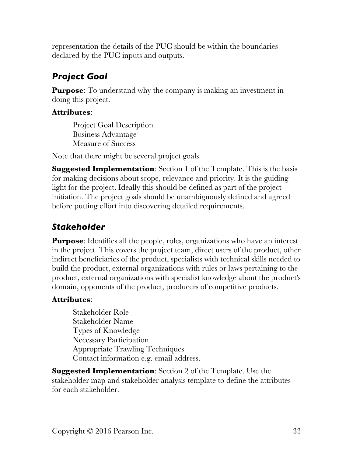representation the details of the PUC should be within the boundaries declared by the PUC inputs and outputs.

# *Project Goal*

**Purpose:** To understand why the company is making an investment in doing this project.

#### **Attributes**:

Project Goal Description Business Advantage Measure of Success

Note that there might be several project goals.

**Suggested Implementation**: Section 1 of the Template. This is the basis for making decisions about scope, relevance and priority. It is the guiding light for the project. Ideally this should be defined as part of the project initiation. The project goals should be unambiguously defined and agreed before putting effort into discovering detailed requirements.

# *Stakeholder*

**Purpose**: Identifies all the people, roles, organizations who have an interest in the project. This covers the project team, direct users of the product, other indirect beneficiaries of the product, specialists with technical skills needed to build the product, external organizations with rules or laws pertaining to the product, external organizations with specialist knowledge about the product's domain, opponents of the product, producers of competitive products.

#### **Attributes**:

Stakeholder Role Stakeholder Name Types of Knowledge Necessary Participation Appropriate Trawling Techniques Contact information e.g. email address.

**Suggested Implementation**: Section 2 of the Template. Use the stakeholder map and stakeholder analysis template to define the attributes for each stakeholder.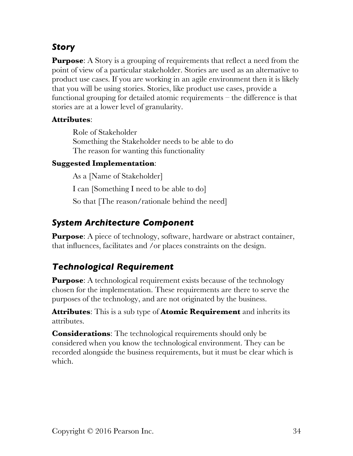### *Story*

**Purpose:** A Story is a grouping of requirements that reflect a need from the point of view of a particular stakeholder. Stories are used as an alternative to product use cases. If you are working in an agile environment then it is likely that you will be using stories. Stories, like product use cases, provide a functional grouping for detailed atomic requirements – the difference is that stories are at a lower level of granularity.

#### **Attributes**:

Role of Stakeholder Something the Stakeholder needs to be able to do The reason for wanting this functionality

#### **Suggested Implementation**:

As a [Name of Stakeholder]

I can [Something I need to be able to do]

So that [The reason/rationale behind the need]

# *System Architecture Component*

**Purpose**: A piece of technology, software, hardware or abstract container, that influences, facilitates and /or places constraints on the design.

# *Technological Requirement*

**Purpose:** A technological requirement exists because of the technology chosen for the implementation. These requirements are there to serve the purposes of the technology, and are not originated by the business.

**Attributes**: This is a sub type of **Atomic Requirement** and inherits its attributes.

**Considerations**: The technological requirements should only be considered when you know the technological environment. They can be recorded alongside the business requirements, but it must be clear which is which.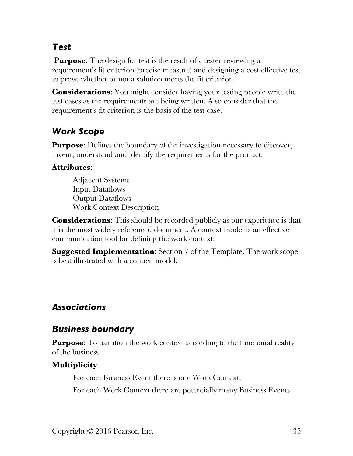#### *Test*

**Purpose:** The design for test is the result of a tester reviewing a requirement's fit criterion (precise measure) and designing a cost effective test to prove whether or not a solution meets the fit criterion.

**Considerations:** You might consider having your testing people write the test cases as the requirements are being written. Also consider that the requirement's fit criterion is the basis of the test case.

### *Work Scope*

**Purpose**: Defines the boundary of the investigation necessary to discover, invent, understand and identify the requirements for the product.

#### **Attributes**:

Adjacent Systems Input Dataflows Output Dataflows Work Context Description

**Considerations**: This should be recorded publicly as our experience is that it is the most widely referenced document. A context model is an effective communication tool for defining the work context.

**Suggested Implementation:** Section 7 of the Template. The work scope is best illustrated with a context model.

### *Associations*

### *Business boundary*

**Purpose**: To partition the work context according to the functional reality of the business.

#### **Multiplicity**:

For each Business Event there is one Work Context.

For each Work Context there are potentially many Business Events.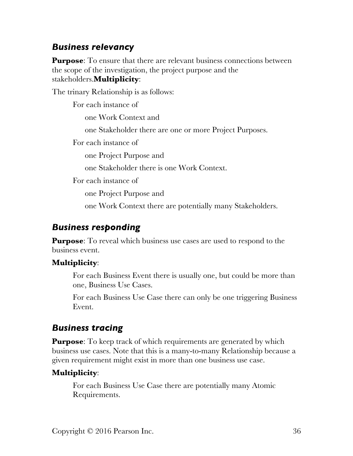#### *Business relevancy*

**Purpose:** To ensure that there are relevant business connections between the scope of the investigation, the project purpose and the stakeholders.**Multiplicity**:

The trinary Relationship is as follows:

For each instance of one Work Context and one Stakeholder there are one or more Project Purposes. For each instance of one Project Purpose and one Stakeholder there is one Work Context. For each instance of one Project Purpose and

one Work Context there are potentially many Stakeholders.

#### *Business responding*

**Purpose:** To reveal which business use cases are used to respond to the business event.

#### **Multiplicity**:

For each Business Event there is usually one, but could be more than one, Business Use Cases.

For each Business Use Case there can only be one triggering Business Event.

#### *Business tracing*

**Purpose:** To keep track of which requirements are generated by which business use cases. Note that this is a many-to-many Relationship because a given requirement might exist in more than one business use case.

#### **Multiplicity**:

For each Business Use Case there are potentially many Atomic Requirements.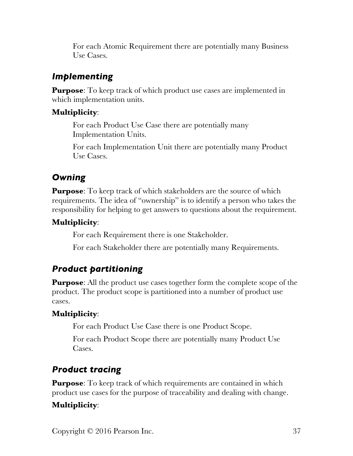For each Atomic Requirement there are potentially many Business Use Cases.

### *Implementing*

**Purpose:** To keep track of which product use cases are implemented in which implementation units.

#### **Multiplicity**:

For each Product Use Case there are potentially many Implementation Units.

For each Implementation Unit there are potentially many Product Use Cases.

### *Owning*

**Purpose:** To keep track of which stakeholders are the source of which requirements. The idea of "ownership" is to identify a person who takes the responsibility for helping to get answers to questions about the requirement.

#### **Multiplicity**:

For each Requirement there is one Stakeholder.

For each Stakeholder there are potentially many Requirements.

### *Product partitioning*

**Purpose**: All the product use cases together form the complete scope of the product. The product scope is partitioned into a number of product use cases.

#### **Multiplicity**:

For each Product Use Case there is one Product Scope.

For each Product Scope there are potentially many Product Use Cases.

#### *Product tracing*

**Purpose:** To keep track of which requirements are contained in which product use cases for the purpose of traceability and dealing with change.

#### **Multiplicity**: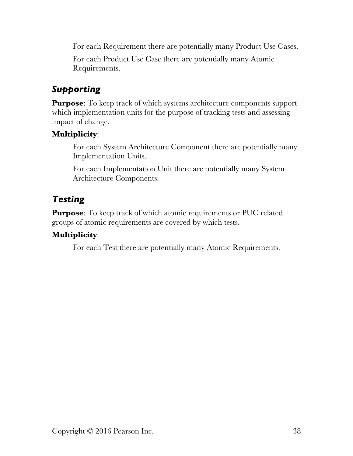For each Requirement there are potentially many Product Use Cases.

For each Product Use Case there are potentially many Atomic Requirements.

### *Supporting*

**Purpose**: To keep track of which systems architecture components support which implementation units for the purpose of tracking tests and assessing impact of change.

#### **Multiplicity**:

For each System Architecture Component there are potentially many Implementation Units.

For each Implementation Unit there are potentially many System Architecture Components.

### *Testing*

**Purpose:** To keep track of which atomic requirements or PUC related groups of atomic requirements are covered by which tests.

#### **Multiplicity**:

For each Test there are potentially many Atomic Requirements.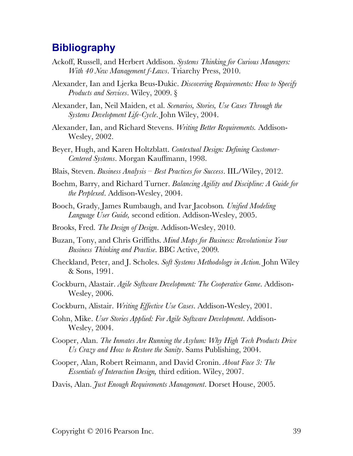### **Bibliography**

- Ackoff, Russell, and Herbert Addison. *Systems Thinking for Curious Managers: With 40 New Management f-Laws*. Triarchy Press, 2010.
- Alexander, Ian and Ljerka Beus-Dukic. *Discovering Requirements: How to Specify Products and Services*. Wiley, 2009. §
- Alexander, Ian, Neil Maiden, et al. *Scenarios, Stories, Use Cases Through the Systems Development Life-Cycle*. John Wiley, 2004.
- Alexander, Ian, and Richard Stevens. *Writing Better Requirements.* Addison-Wesley, 2002.
- Beyer, Hugh, and Karen Holtzblatt. *Contextual Design: Defining Customer-Centered Systems*. Morgan Kauffmann, 1998.
- Blais, Steven. *Business Analysis – Best Practices for Success*. IIL/Wiley, 2012.
- Boehm, Barry, and Richard Turner. *Balancing Agility and Discipline: A Guide for the Perplexed*. Addison-Wesley, 2004.
- Booch, Grady, James Rumbaugh, and Ivar Jacobson*. Unified Modeling Language User Guide,* second edition. Addison-Wesley, 2005.
- Brooks, Fred. *The Design of Design*. Addison-Wesley, 2010.
- Buzan, Tony, and Chris Griffiths. *Mind Maps for Business: Revolutionise Your Business Thinking and Practise*. BBC Active, 2009*.*
- Checkland, Peter, and J. Scholes. *Soft Systems Methodology in Action.* John Wiley & Sons, 1991.
- Cockburn, Alastair. *Agile Software Development: The Cooperative Game*. Addison-Wesley, 2006.
- Cockburn, Alistair. *Writing Effective Use Cases*. Addison-Wesley, 2001.
- Cohn, Mike. *User Stories Applied: For Agile Software Development*. Addison-Wesley, 2004.
- Cooper, Alan. *The Inmates Are Running the Asylum: Why High Tech Products Drive Us Crazy and How to Restore the Sanity*. Sams Publishing, 2004.
- Cooper, Alan, Robert Reimann, and David Cronin. *About Face 3: The Essentials of Interaction Design,* third edition. Wiley, 2007.
- Davis, Alan. *Just Enough Requirements Management*. Dorset House, 2005.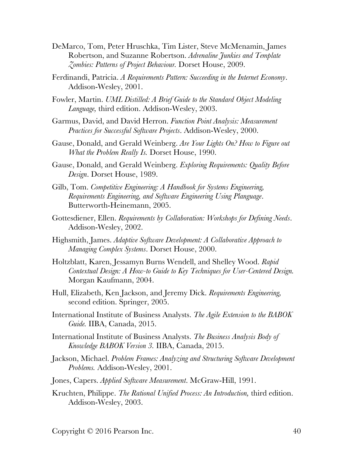- DeMarco, Tom, Peter Hruschka, Tim Lister, Steve McMenamin, James Robertson, and Suzanne Robertson. *Adrenaline Junkies and Template Zombies: Patterns of Project Behaviour.* Dorset House, 2009.
- Ferdinandi, Patricia. *A Requirements Pattern: Succeeding in the Internet Economy*. Addison-Wesley, 2001.
- Fowler, Martin. *UML Distilled: A Brief Guide to the Standard Object Modeling Language,* third edition. Addison-Wesley, 2003.
- Garmus, David, and David Herron. *Function Point Analysis: Measurement Practices for Successful Software Projects*. Addison-Wesley, 2000.
- Gause, Donald, and Gerald Weinberg. *Are Your Lights On? How to Figure out What the Problem Really Is.* Dorset House, 1990.
- Gause, Donald, and Gerald Weinberg. *Exploring Requirements: Quality Before Design*. Dorset House, 1989.
- Gilb, Tom. *Competitive Engineering: A Handbook for Systems Engineering, Requirements Engineering, and Software Engineering Using Planguage*. Butterworth-Heinemann, 2005.
- Gottesdiener, Ellen. *Requirements by Collaboration: Workshops for Defining Needs*. Addison-Wesley, 2002.
- Highsmith, James. *Adaptive Software Development: A Collaborative Approach to Managing Complex Systems*. Dorset House, 2000.
- Holtzblatt, Karen, Jessamyn Burns Wendell, and Shelley Wood. *Rapid Contextual Design: A How-to Guide to Key Techniques for User-Centered Design.*  Morgan Kaufmann, 2004.
- Hull, Elizabeth, Ken Jackson, and Jeremy Dick. *Requirements Engineering,* second edition. Springer, 2005.
- International Institute of Business Analysts. *The Agile Extension to the BABOK Guide.* IIBA, Canada, 2015.
- International Institute of Business Analysts. *The Business Analysis Body of Knowledge BABOK Version 3.* IIBA, Canada, 2015.
- Jackson, Michael. *Problem Frames: Analyzing and Structuring Software Development Problems.* Addison-Wesley, 2001.
- Jones, Capers. *Applied Software Measurement*. McGraw-Hill, 1991.
- Kruchten, Philippe. *The Rational Unified Process: An Introduction,* third edition. Addison-Wesley, 2003.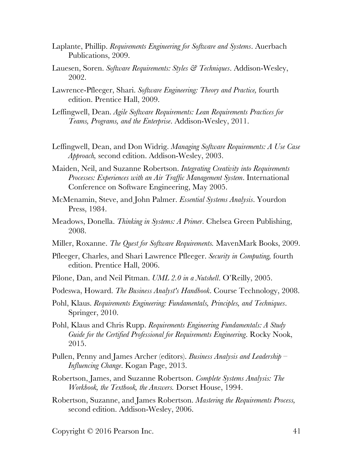- Laplante, Phillip. *Requirements Engineering for Software and Systems*. Auerbach Publications, 2009.
- Lauesen, Soren. *Software Requirements: Styles & Techniques*. Addison-Wesley, 2002.
- Lawrence-Pfleeger, Shari. *Software Engineering: Theory and Practice,* fourth edition. Prentice Hall, 2009.
- Leffingwell, Dean. *Agile Software Requirements: Lean Requirements Practices for Teams, Programs, and the Enterprise*. Addison-Wesley, 2011.
- Leffingwell, Dean, and Don Widrig. *Managing Software Requirements: A Use Case Approach,* second edition. Addison-Wesley, 2003.
- Maiden, Neil, and Suzanne Robertson. *Integrating Creativity into Requirements Processes: Experiences with an Air Traffic Management System*. International Conference on Software Engineering, May 2005.
- McMenamin, Steve, and John Palmer. *Essential Systems Analysis*. Yourdon Press, 1984.
- Meadows, Donella. *Thinking in Systems: A Primer*. Chelsea Green Publishing, 2008.
- Miller, Roxanne. *The Quest for Software Requirements.* MavenMark Books, 2009.
- Pfleeger, Charles, and Shari Lawrence Pfleeger. *Security in Computing,* fourth edition. Prentice Hall, 2006.
- Pilone, Dan, and Neil Pitman. *UML 2.0 in a Nutshell*. O'Reilly, 2005.
- Podeswa, Howard. *The Business Analyst's Handbook*. Course Technology, 2008.
- Pohl, Klaus. *Requirements Engineering: Fundamentals, Principles, and Techniques*. Springer, 2010.
- Pohl, Klaus and Chris Rupp. *Requirements Engineering Fundamentals: A Study Guide for the Certified Professional for Requirements Engineering*. Rocky Nook, 2015.
- Pullen, Penny and James Archer (editors). *Business Analysis and Leadership – Influencing Change*. Kogan Page, 2013.
- Robertson, James, and Suzanne Robertson. *Complete Systems Analysis: The Workbook, the Textbook, the Answers.* Dorset House, 1994.
- Robertson, Suzanne, and James Robertson. *Mastering the Requirements Process,* second edition. Addison-Wesley, 2006.

Copyright © 2016 Pearson Inc. 41